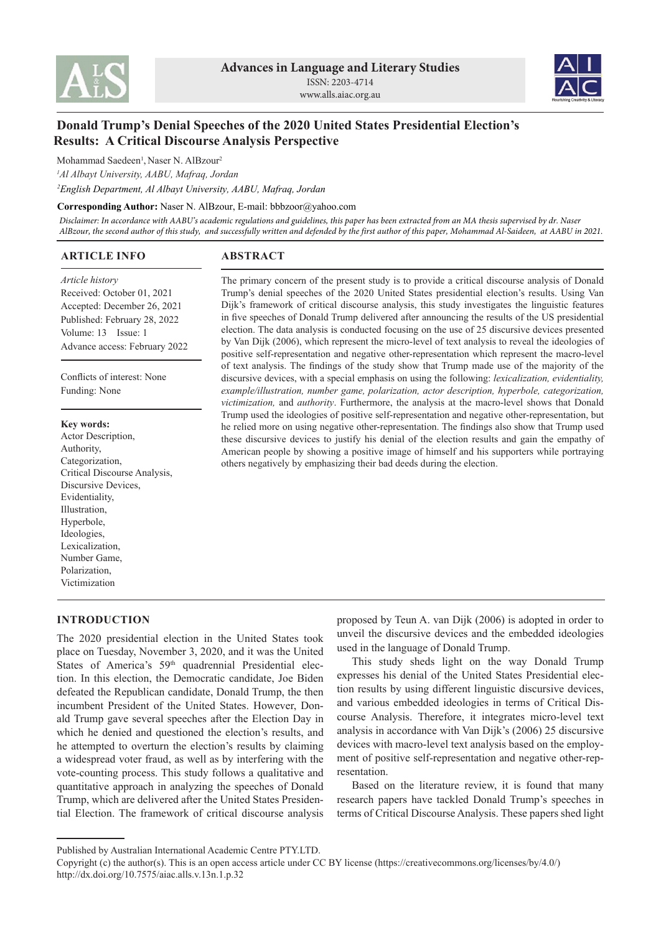



# **Donald Trump's Denial Speeches of the 2020 United States Presidential Election's Results: A Critical Discourse Analysis Perspective**

Mohammad Saedeen<sup>1</sup>, Naser N. AlBzour<sup>2</sup>

*1 Al Albayt University, AABU, Mafraq, Jordan*

*<sup>2</sup>English Department, Al Albayt University, AABU, Mafraq, Jordan*

#### **Corresponding Author:** Naser N. AlBzour, E-mail: bbbzoor@yahoo.com

*Disclaimer: In accordance with AABU's academic regulations and guidelines, this paper has been extracted from an MA thesis supervised by dr. Naser AlBzour, the second author of this study, and successfully written and defended by the first author of this paper, Mohammad Al-Saideen, at AABU in 2021.*

others negatively by emphasizing their bad deeds during the election.

The primary concern of the present study is to provide a critical discourse analysis of Donald Trump's denial speeches of the 2020 United States presidential election's results. Using Van Dijk's framework of critical discourse analysis, this study investigates the linguistic features in five speeches of Donald Trump delivered after announcing the results of the US presidential election. The data analysis is conducted focusing on the use of 25 discursive devices presented by Van Dijk (2006), which represent the micro-level of text analysis to reveal the ideologies of positive self-representation and negative other-representation which represent the macro-level of text analysis. The findings of the study show that Trump made use of the majority of the discursive devices, with a special emphasis on using the following: *lexicalization, evidentiality, example/illustration, number game, polarization, actor description, hyperbole, categorization, victimization,* and *authority*. Furthermore, the analysis at the macro-level shows that Donald Trump used the ideologies of positive self-representation and negative other-representation, but he relied more on using negative other-representation. The findings also show that Trump used these discursive devices to justify his denial of the election results and gain the empathy of American people by showing a positive image of himself and his supporters while portraying

## **ARTICLE INFO**

## **ABSTRACT**

*Article history* Received: October 01, 2021 Accepted: December 26, 2021 Published: February 28, 2022 Volume: 13 Issue: 1 Advance access: February 2022

Conflicts of interest: None Funding: None

#### **Key words:**

Actor Description, Authority, Categorization, Critical Discourse Analysis, Discursive Devices, Evidentiality, Illustration, Hyperbole, Ideologies, Lexicalization, Number Game, Polarization, Victimization

## **INTRODUCTION**

The 2020 presidential election in the United States took place on Tuesday, November 3, 2020, and it was the United States of America's 59<sup>th</sup> quadrennial Presidential election. In this election, the Democratic candidate, Joe Biden defeated the Republican candidate, Donald Trump, the then incumbent President of the United States. However, Donald Trump gave several speeches after the Election Day in which he denied and questioned the election's results, and he attempted to overturn the election's results by claiming a widespread voter fraud, as well as by interfering with the vote-counting process. This study follows a qualitative and quantitative approach in analyzing the speeches of Donald Trump, which are delivered after the United States Presidential Election. The framework of critical discourse analysis proposed by Teun A. van Dijk (2006) is adopted in order to unveil the discursive devices and the embedded ideologies used in the language of Donald Trump.

This study sheds light on the way Donald Trump expresses his denial of the United States Presidential election results by using different linguistic discursive devices, and various embedded ideologies in terms of Critical Discourse Analysis. Therefore, it integrates micro-level text analysis in accordance with Van Dijk's (2006) 25 discursive devices with macro-level text analysis based on the employment of positive self-representation and negative other-representation.

Based on the literature review, it is found that many research papers have tackled Donald Trump's speeches in terms of Critical Discourse Analysis. These papers shed light

Published by Australian International Academic Centre PTY.LTD.

Copyright (c) the author(s). This is an open access article under CC BY license (https://creativecommons.org/licenses/by/4.0/) http://dx.doi.org/10.7575/aiac.alls.v.13n.1.p.32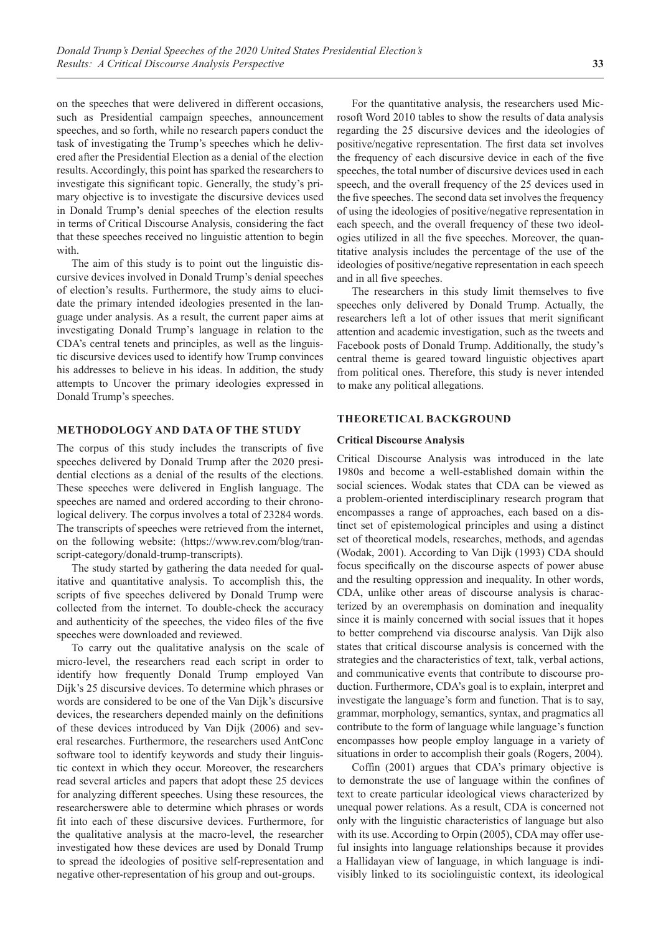on the speeches that were delivered in different occasions, such as Presidential campaign speeches, announcement speeches, and so forth, while no research papers conduct the task of investigating the Trump's speeches which he delivered after the Presidential Election as a denial of the election results. Accordingly, this point has sparked the researchers to investigate this significant topic. Generally, the study's primary objective is to investigate the discursive devices used in Donald Trump's denial speeches of the election results in terms of Critical Discourse Analysis, considering the fact that these speeches received no linguistic attention to begin with.

The aim of this study is to point out the linguistic discursive devices involved in Donald Trump's denial speeches of election's results. Furthermore, the study aims to elucidate the primary intended ideologies presented in the language under analysis. As a result, the current paper aims at investigating Donald Trump's language in relation to the CDA's central tenets and principles, as well as the linguistic discursive devices used to identify how Trump convinces his addresses to believe in his ideas. In addition, the study attempts to Uncover the primary ideologies expressed in Donald Trump's speeches.

## **METHODOLOGY AND DATA OF THE STUDY**

The corpus of this study includes the transcripts of five speeches delivered by Donald Trump after the 2020 presidential elections as a denial of the results of the elections. These speeches were delivered in English language. The speeches are named and ordered according to their chronological delivery. The corpus involves a total of 23284 words. The transcripts of speeches were retrieved from the internet, on the following website: (https://www.rev.com/blog/transcript-category/donald-trump-transcripts).

The study started by gathering the data needed for qualitative and quantitative analysis. To accomplish this, the scripts of five speeches delivered by Donald Trump were collected from the internet. To double-check the accuracy and authenticity of the speeches, the video files of the five speeches were downloaded and reviewed.

To carry out the qualitative analysis on the scale of micro-level, the researchers read each script in order to identify how frequently Donald Trump employed Van Dijk's 25 discursive devices. To determine which phrases or words are considered to be one of the Van Dijk's discursive devices, the researchers depended mainly on the definitions of these devices introduced by Van Dijk (2006) and several researches. Furthermore, the researchers used AntConc software tool to identify keywords and study their linguistic context in which they occur. Moreover, the researchers read several articles and papers that adopt these 25 devices for analyzing different speeches. Using these resources, the researcherswere able to determine which phrases or words fit into each of these discursive devices. Furthermore, for the qualitative analysis at the macro-level, the researcher investigated how these devices are used by Donald Trump to spread the ideologies of positive self-representation and negative other-representation of his group and out-groups.

For the quantitative analysis, the researchers used Microsoft Word 2010 tables to show the results of data analysis regarding the 25 discursive devices and the ideologies of positive/negative representation. The first data set involves the frequency of each discursive device in each of the five speeches, the total number of discursive devices used in each speech, and the overall frequency of the 25 devices used in the five speeches. The second data set involves the frequency of using the ideologies of positive/negative representation in each speech, and the overall frequency of these two ideologies utilized in all the five speeches. Moreover, the quantitative analysis includes the percentage of the use of the ideologies of positive/negative representation in each speech and in all five speeches.

The researchers in this study limit themselves to five speeches only delivered by Donald Trump. Actually, the researchers left a lot of other issues that merit significant attention and academic investigation, such as the tweets and Facebook posts of Donald Trump. Additionally, the study's central theme is geared toward linguistic objectives apart from political ones. Therefore, this study is never intended to make any political allegations.

#### **THEORETICAL BACKGROUND**

#### **Critical Discourse Analysis**

Critical Discourse Analysis was introduced in the late 1980s and become a well-established domain within the social sciences. Wodak states that CDA can be viewed as a problem-oriented interdisciplinary research program that encompasses a range of approaches, each based on a distinct set of epistemological principles and using a distinct set of theoretical models, researches, methods, and agendas (Wodak, 2001). According to Van Dijk (1993) CDA should focus specifically on the discourse aspects of power abuse and the resulting oppression and inequality. In other words, CDA, unlike other areas of discourse analysis is characterized by an overemphasis on domination and inequality since it is mainly concerned with social issues that it hopes to better comprehend via discourse analysis. Van Dijk also states that critical discourse analysis is concerned with the strategies and the characteristics of text, talk, verbal actions, and communicative events that contribute to discourse production. Furthermore, CDA's goal is to explain, interpret and investigate the language's form and function. That is to say, grammar, morphology, semantics, syntax, and pragmatics all contribute to the form of language while language's function encompasses how people employ language in a variety of situations in order to accomplish their goals (Rogers, 2004).

Coffin (2001) argues that CDA's primary objective is to demonstrate the use of language within the confines of text to create particular ideological views characterized by unequal power relations. As a result, CDA is concerned not only with the linguistic characteristics of language but also with its use. According to Orpin (2005), CDA may offer useful insights into language relationships because it provides a Hallidayan view of language, in which language is indivisibly linked to its sociolinguistic context, its ideological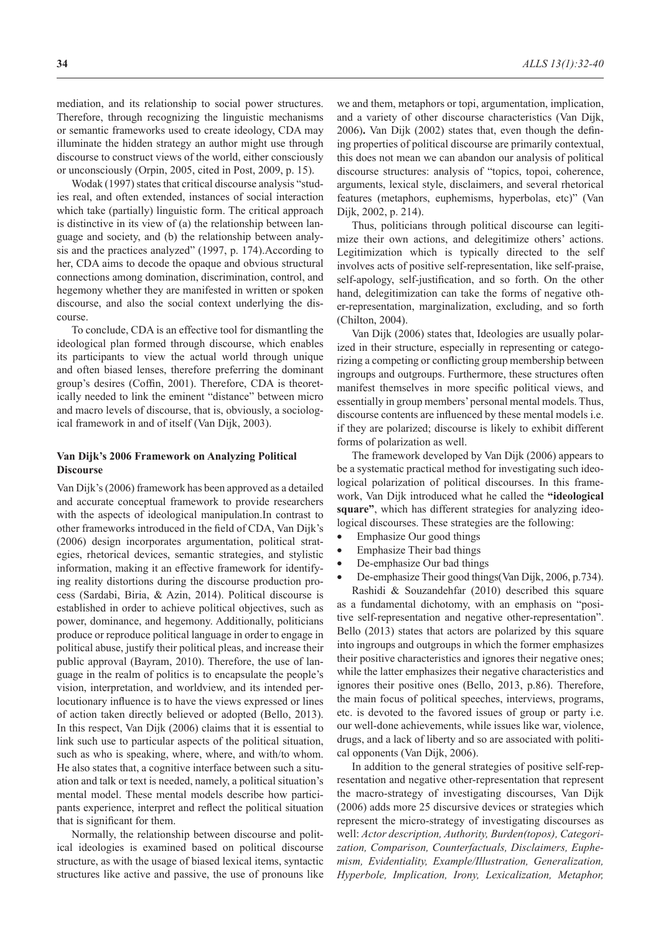mediation, and its relationship to social power structures. Therefore, through recognizing the linguistic mechanisms or semantic frameworks used to create ideology, CDA may illuminate the hidden strategy an author might use through discourse to construct views of the world, either consciously or unconsciously (Orpin, 2005, cited in Post, 2009, p. 15).

Wodak (1997) states that critical discourse analysis "studies real, and often extended, instances of social interaction which take (partially) linguistic form. The critical approach is distinctive in its view of (a) the relationship between language and society, and (b) the relationship between analysis and the practices analyzed" (1997, p. 174).According to her, CDA aims to decode the opaque and obvious structural connections among domination, discrimination, control, and hegemony whether they are manifested in written or spoken discourse, and also the social context underlying the discourse.

To conclude, CDA is an effective tool for dismantling the ideological plan formed through discourse, which enables its participants to view the actual world through unique and often biased lenses, therefore preferring the dominant group's desires (Coffin, 2001). Therefore, CDA is theoretically needed to link the eminent "distance" between micro and macro levels of discourse, that is, obviously, a sociological framework in and of itself (Van Dijk, 2003).

### **Van Dijk's 2006 Framework on Analyzing Political Discourse**

Van Dijk's (2006) framework has been approved as a detailed and accurate conceptual framework to provide researchers with the aspects of ideological manipulation.In contrast to other frameworks introduced in the field of CDA, Van Dijk's (2006) design incorporates argumentation, political strategies, rhetorical devices, semantic strategies, and stylistic information, making it an effective framework for identifying reality distortions during the discourse production process (Sardabi, Biria, & Azin, 2014). Political discourse is established in order to achieve political objectives, such as power, dominance, and hegemony. Additionally, politicians produce or reproduce political language in order to engage in political abuse, justify their political pleas, and increase their public approval (Bayram, 2010). Therefore, the use of language in the realm of politics is to encapsulate the people's vision, interpretation, and worldview, and its intended perlocutionary influence is to have the views expressed or lines of action taken directly believed or adopted (Bello, 2013). In this respect, Van Dijk (2006) claims that it is essential to link such use to particular aspects of the political situation, such as who is speaking, where, where, and with/to whom. He also states that, a cognitive interface between such a situation and talk or text is needed, namely, a political situation's mental model. These mental models describe how participants experience, interpret and reflect the political situation that is significant for them.

Normally, the relationship between discourse and political ideologies is examined based on political discourse structure, as with the usage of biased lexical items, syntactic structures like active and passive, the use of pronouns like we and them, metaphors or topi, argumentation, implication, and a variety of other discourse characteristics (Van Dijk, 2006)**.** Van Dijk (2002) states that, even though the defining properties of political discourse are primarily contextual, this does not mean we can abandon our analysis of political discourse structures: analysis of "topics, topoi, coherence, arguments, lexical style, disclaimers, and several rhetorical features (metaphors, euphemisms, hyperbolas, etc)" (Van Dijk, 2002, p. 214).

Thus, politicians through political discourse can legitimize their own actions, and delegitimize others' actions. Legitimization which is typically directed to the self involves acts of positive self-representation, like self-praise, self-apology, self-justification, and so forth. On the other hand, delegitimization can take the forms of negative other-representation, marginalization, excluding, and so forth (Chilton, 2004).

Van Dijk (2006) states that, Ideologies are usually polarized in their structure, especially in representing or categorizing a competing or conflicting group membership between ingroups and outgroups. Furthermore, these structures often manifest themselves in more specific political views, and essentially in group members' personal mental models. Thus, discourse contents are influenced by these mental models i.e. if they are polarized; discourse is likely to exhibit different forms of polarization as well.

The framework developed by Van Dijk (2006) appears to be a systematic practical method for investigating such ideological polarization of political discourses. In this framework, Van Dijk introduced what he called the **"ideological square"**, which has different strategies for analyzing ideological discourses. These strategies are the following:

- Emphasize Our good things
- Emphasize Their bad things
- De-emphasize Our bad things
- De-emphasize Their good things(Van Dijk, 2006, p.734).

Rashidi & Souzandehfar (2010) described this square as a fundamental dichotomy, with an emphasis on "positive self-representation and negative other-representation". Bello (2013) states that actors are polarized by this square into ingroups and outgroups in which the former emphasizes their positive characteristics and ignores their negative ones; while the latter emphasizes their negative characteristics and ignores their positive ones (Bello, 2013, p.86). Therefore, the main focus of political speeches, interviews, programs, etc. is devoted to the favored issues of group or party i.e. our well-done achievements, while issues like war, violence, drugs, and a lack of liberty and so are associated with political opponents (Van Dijk, 2006).

In addition to the general strategies of positive self-representation and negative other-representation that represent the macro-strategy of investigating discourses, Van Dijk (2006) adds more 25 discursive devices or strategies which represent the micro-strategy of investigating discourses as well: *Actor description, Authority, Burden(topos), Categorization, Comparison, Counterfactuals, Disclaimers, Euphemism, Evidentiality, Example/Illustration, Generalization, Hyperbole, Implication, Irony, Lexicalization, Metaphor,*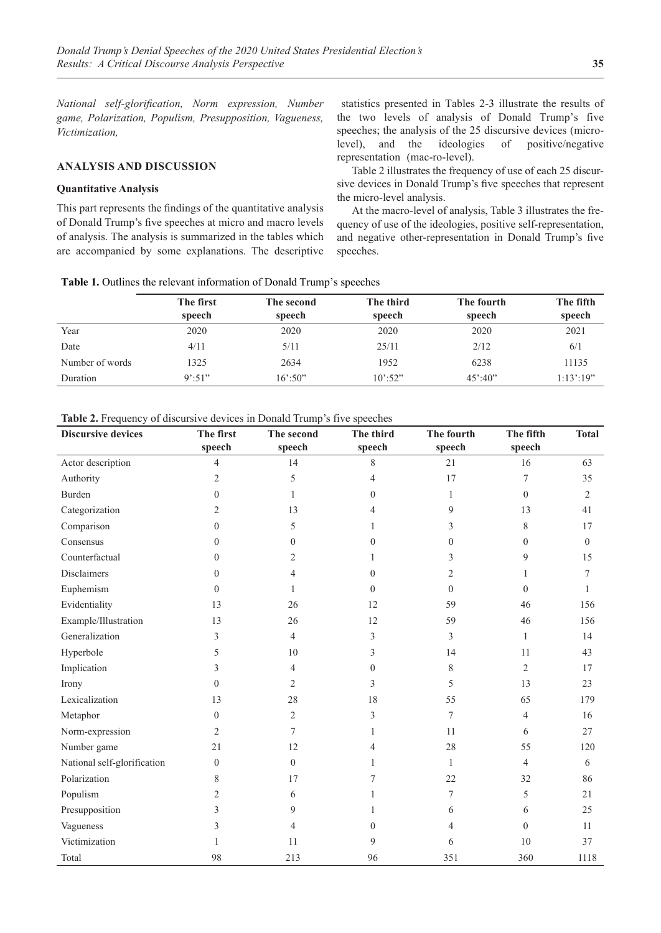*National self-glorification, Norm expression, Number game, Polarization, Populism, Presupposition, Vagueness, Victimization,*

## **ANALYSIS AND DISCUSSION**

#### **Quantitative Analysis**

This part represents the findings of the quantitative analysis of Donald Trump's five speeches at micro and macro levels of analysis. The analysis is summarized in the tables which are accompanied by some explanations. The descriptive

 statistics presented in Tables 2-3 illustrate the results of the two levels of analysis of Donald Trump's five speeches; the analysis of the 25 discursive devices (microlevel), and the ideologies of positive/negative representation (mac-ro-level).

Table 2 illustrates the frequency of use of each 25 discursive devices in Donald Trump's five speeches that represent the micro-level analysis.

At the macro-level of analysis, Table 3 illustrates the frequency of use of the ideologies, positive self-representation, and negative other-representation in Donald Trump's five speeches.

**Table 1.** Outlines the relevant information of Donald Trump's speeches

|                 | The first<br>speech | The second<br>speech | The third<br>speech           | The fourth<br>speech          | The fifth<br>speech |
|-----------------|---------------------|----------------------|-------------------------------|-------------------------------|---------------------|
| Year            | 2020                | 2020                 | 2020                          | 2020                          | 2021                |
| Date            | 4/11                | 5/11                 | 25/11                         | 2/12                          | 6/1                 |
| Number of words | 1325                | 2634                 | 1952                          | 6238                          | 11135               |
| Duration        | $9^{\circ}$ :51"    | $16^{\circ}$ :50"    | $10^{\circ}$ :52 <sup>*</sup> | $45^{\circ}$ :40 <sup>*</sup> | 1:13':19"           |

**Table 2.** Frequency of discursive devices in Donald Trump's five speeches

| <b>Discursive devices</b>   | The first<br>speech | The second<br>speech | The third<br>speech | The fourth<br>speech | The fifth<br>speech | <b>Total</b> |
|-----------------------------|---------------------|----------------------|---------------------|----------------------|---------------------|--------------|
| Actor description           | $\overline{4}$      | 14                   | 8                   | 21                   | 16                  | 63           |
| Authority                   | 2                   | 5                    | 4                   | 17                   | 7                   | 35           |
| Burden                      | $\theta$            |                      | 0                   | 1                    | $\theta$            | 2            |
| Categorization              | 2                   | 13                   | 4                   | 9                    | 13                  | 41           |
| Comparison                  | $\theta$            | 5                    |                     | 3                    | $\,$ 8 $\,$         | 17           |
| Consensus                   | $\Omega$            | $\boldsymbol{0}$     | $\Omega$            | $\theta$             | $\theta$            | $\Omega$     |
| Counterfactual              | $\Omega$            | 2                    | L                   | 3                    | 9                   | 15           |
| <b>Disclaimers</b>          | $\theta$            | 4                    | 0                   | $\overline{2}$       |                     | 7            |
| Euphemism                   | $\Omega$            | 1                    | $\theta$            | $\theta$             | $\Omega$            |              |
| Evidentiality               | 13                  | 26                   | 12                  | 59                   | 46                  | 156          |
| Example/Illustration        | 13                  | 26                   | 12                  | 59                   | 46                  | 156          |
| Generalization              | 3                   | 4                    | $\overline{3}$      | 3                    | $\mathbf{1}$        | 14           |
| Hyperbole                   | 5                   | 10                   | 3                   | 14                   | 11                  | 43           |
| Implication                 | 3                   | 4                    | $\theta$            | 8                    | $\overline{c}$      | 17           |
| Irony                       | $\mathbf{0}$        | 2                    | 3                   | 5                    | 13                  | 23           |
| Lexicalization              | 13                  | 28                   | 18                  | 55                   | 65                  | 179          |
| Metaphor                    | $\Omega$            | 2                    | 3                   | 7                    | $\overline{4}$      | 16           |
| Norm-expression             | $\overline{2}$      | 7                    |                     | 11                   | 6                   | 27           |
| Number game                 | 21                  | 12                   | 4                   | 28                   | 55                  | 120          |
| National self-glorification | $\theta$            | $\mathbf{0}$         |                     | 1                    | $\overline{4}$      | 6            |
| Polarization                | 8                   | 17                   | 7                   | 22                   | 32                  | 86           |
| Populism                    | 2                   | 6                    |                     | 7                    | 5                   | 21           |
| Presupposition              | 3                   | 9                    |                     | 6                    | 6                   | 25           |
| Vagueness                   | 3                   | 4                    | 0                   | 4                    | $\Omega$            | 11           |
| Victimization               |                     | 11                   | 9                   | 6                    | 10                  | 37           |
| Total                       | 98                  | 213                  | 96                  | 351                  | 360                 | 1118         |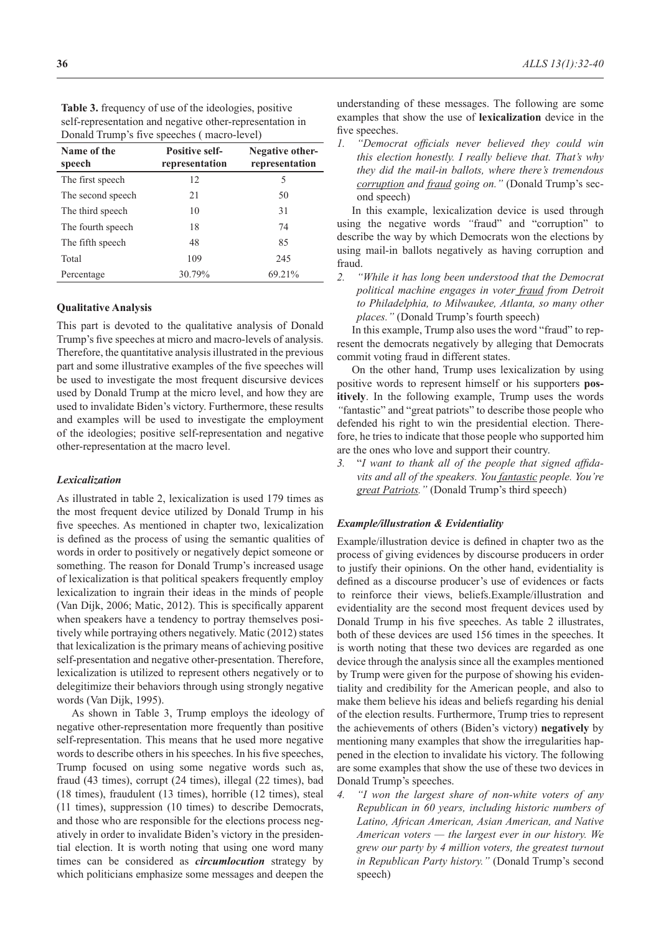| Name of the<br>speech | <b>Positive self-</b><br>representation | Negative other-<br>representation |
|-----------------------|-----------------------------------------|-----------------------------------|
| The first speech      | 12                                      | 5                                 |
| The second speech     | 21                                      | 50                                |
| The third speech      | 10                                      | 31                                |
| The fourth speech     | 18                                      | 74                                |
| The fifth speech      | 48                                      | 85                                |
| Total                 | 109                                     | 245                               |
| Percentage            | 30.79%                                  | 69.21%                            |

**Table 3.** frequency of use of the ideologies, positive self-representation and negative other-representation in Donald Trump's five speeches ( macro-level)

#### **Qualitative Analysis**

This part is devoted to the qualitative analysis of Donald Trump's five speeches at micro and macro-levels of analysis. Therefore, the quantitative analysis illustrated in the previous part and some illustrative examples of the five speeches will be used to investigate the most frequent discursive devices used by Donald Trump at the micro level, and how they are used to invalidate Biden's victory. Furthermore, these results and examples will be used to investigate the employment of the ideologies; positive self-representation and negative other-representation at the macro level.

#### *Lexicalization*

As illustrated in table 2, lexicalization is used 179 times as the most frequent device utilized by Donald Trump in his five speeches. As mentioned in chapter two, lexicalization is defined as the process of using the semantic qualities of words in order to positively or negatively depict someone or something. The reason for Donald Trump's increased usage of lexicalization is that political speakers frequently employ lexicalization to ingrain their ideas in the minds of people (Van Dijk, 2006; Matic, 2012). This is specifically apparent when speakers have a tendency to portray themselves positively while portraying others negatively. Matic (2012) states that lexicalization is the primary means of achieving positive self-presentation and negative other-presentation. Therefore, lexicalization is utilized to represent others negatively or to delegitimize their behaviors through using strongly negative words (Van Dijk, 1995).

As shown in Table 3, Trump employs the ideology of negative other-representation more frequently than positive self-representation. This means that he used more negative words to describe others in his speeches. In his five speeches, Trump focused on using some negative words such as, fraud (43 times), corrupt (24 times), illegal (22 times), bad (18 times), fraudulent (13 times), horrible (12 times), steal (11 times), suppression (10 times) to describe Democrats, and those who are responsible for the elections process negatively in order to invalidate Biden's victory in the presidential election. It is worth noting that using one word many times can be considered as *circumlocution* strategy by which politicians emphasize some messages and deepen the

understanding of these messages. The following are some examples that show the use of **lexicalization** device in the five speeches.

*1. "Democrat officials never believed they could win this election honestly. I really believe that. That's why they did the mail-in ballots, where there's tremendous corruption and fraud going on."* (Donald Trump's second speech)

In this example, lexicalization device is used through using the negative words *"*fraud" and "corruption" to describe the way by which Democrats won the elections by using mail-in ballots negatively as having corruption and fraud.

*2. "While it has long been understood that the Democrat political machine engages in voter fraud from Detroit to Philadelphia, to Milwaukee, Atlanta, so many other places."* (Donald Trump's fourth speech)

In this example, Trump also uses the word "fraud" to represent the democrats negatively by alleging that Democrats commit voting fraud in different states.

On the other hand, Trump uses lexicalization by using positive words to represent himself or his supporters **pos‑ itively**. In the following example, Trump uses the words *"*fantastic" and "great patriots" to describe those people who defended his right to win the presidential election. Therefore, he tries to indicate that those people who supported him are the ones who love and support their country.

*3.* "*I want to thank all of the people that signed affidavits and all of the speakers. You fantastic people. You're great Patriots."* (Donald Trump's third speech)

#### *Example/illustration & Evidentiality*

Example/illustration device is defined in chapter two as the process of giving evidences by discourse producers in order to justify their opinions. On the other hand, evidentiality is defined as a discourse producer's use of evidences or facts to reinforce their views, beliefs.Example/illustration and evidentiality are the second most frequent devices used by Donald Trump in his five speeches. As table 2 illustrates, both of these devices are used 156 times in the speeches. It is worth noting that these two devices are regarded as one device through the analysis since all the examples mentioned by Trump were given for the purpose of showing his evidentiality and credibility for the American people, and also to make them believe his ideas and beliefs regarding his denial of the election results. Furthermore, Trump tries to represent the achievements of others (Biden's victory) **negatively** by mentioning many examples that show the irregularities happened in the election to invalidate his victory. The following are some examples that show the use of these two devices in Donald Trump's speeches.

*4. "I won the largest share of non-white voters of any Republican in 60 years, including historic numbers of Latino, African American, Asian American, and Native American voters — the largest ever in our history. We grew our party by 4 million voters, the greatest turnout in Republican Party history."* (Donald Trump's second speech)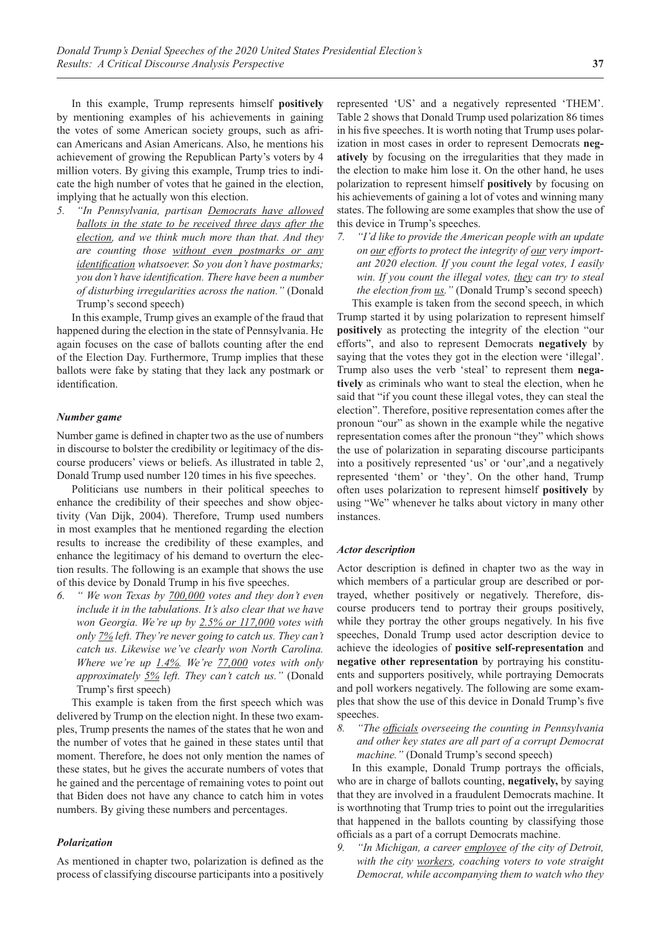In this example, Trump represents himself **positively** by mentioning examples of his achievements in gaining the votes of some American society groups, such as african Americans and Asian Americans. Also, he mentions his achievement of growing the Republican Party's voters by 4 million voters. By giving this example, Trump tries to indicate the high number of votes that he gained in the election, implying that he actually won this election.

*5. "In Pennsylvania, partisan Democrats have allowed ballots in the state to be received three days after the election, and we think much more than that. And they are counting those without even postmarks or any identification whatsoever. So you don't have postmarks; you don't have identification. There have been a number of disturbing irregularities across the nation."* (Donald Trump's second speech)

In this example, Trump gives an example of the fraud that happened during the election in the state of Pennsylvania. He again focuses on the case of ballots counting after the end of the Election Day. Furthermore, Trump implies that these ballots were fake by stating that they lack any postmark or identification.

#### *Number game*

Number game is defined in chapter two as the use of numbers in discourse to bolster the credibility or legitimacy of the discourse producers' views or beliefs. As illustrated in table 2, Donald Trump used number 120 times in his five speeches.

Politicians use numbers in their political speeches to enhance the credibility of their speeches and show objectivity (Van Dijk, 2004). Therefore, Trump used numbers in most examples that he mentioned regarding the election results to increase the credibility of these examples, and enhance the legitimacy of his demand to overturn the election results. The following is an example that shows the use of this device by Donald Trump in his five speeches.

*6. " We won Texas by 700,000 votes and they don't even include it in the tabulations. It's also clear that we have won Georgia. We're up by 2.5% or 117,000 votes with only 7% left. They're never going to catch us. They can't catch us. Likewise we've clearly won North Carolina. Where we're up 1.4%. We're 77,000 votes with only approximately 5% left. They can't catch us."* (Donald Trump's first speech)

This example is taken from the first speech which was delivered by Trump on the election night. In these two examples, Trump presents the names of the states that he won and the number of votes that he gained in these states until that moment. Therefore, he does not only mention the names of these states, but he gives the accurate numbers of votes that he gained and the percentage of remaining votes to point out that Biden does not have any chance to catch him in votes numbers. By giving these numbers and percentages.

## *Polarization*

As mentioned in chapter two, polarization is defined as the process of classifying discourse participants into a positively represented 'US' and a negatively represented 'THEM'. Table 2 shows that Donald Trump used polarization 86 times in his five speeches. It is worth noting that Trump uses polarization in most cases in order to represent Democrats **neg‑ atively** by focusing on the irregularities that they made in the election to make him lose it. On the other hand, he uses polarization to represent himself **positively** by focusing on his achievements of gaining a lot of votes and winning many states. The following are some examples that show the use of this device in Trump's speeches.

*7. "I'd like to provide the American people with an update on our efforts to protect the integrity of our very important 2020 election. If you count the legal votes, I easily win. If you count the illegal votes, they can try to steal the election from us."* (Donald Trump's second speech)

This example is taken from the second speech, in which Trump started it by using polarization to represent himself **positively** as protecting the integrity of the election "our efforts", and also to represent Democrats **negatively** by saying that the votes they got in the election were 'illegal'. Trump also uses the verb 'steal' to represent them **nega‑ tively** as criminals who want to steal the election, when he said that "if you count these illegal votes, they can steal the election". Therefore, positive representation comes after the pronoun "our" as shown in the example while the negative representation comes after the pronoun "they" which shows the use of polarization in separating discourse participants into a positively represented 'us' or 'our',and a negatively represented 'them' or 'they'. On the other hand, Trump often uses polarization to represent himself **positively** by using "We" whenever he talks about victory in many other instances.

#### *Actor description*

Actor description is defined in chapter two as the way in which members of a particular group are described or portrayed, whether positively or negatively. Therefore, discourse producers tend to portray their groups positively, while they portray the other groups negatively. In his five speeches, Donald Trump used actor description device to achieve the ideologies of **positive self-representation** and **negative other representation** by portraying his constituents and supporters positively, while portraying Democrats and poll workers negatively. The following are some examples that show the use of this device in Donald Trump's five speeches.

*8. "The officials overseeing the counting in Pennsylvania and other key states are all part of a corrupt Democrat machine.*" (Donald Trump's second speech)

In this example, Donald Trump portrays the officials, who are in charge of ballots counting, **negatively,** by saying that they are involved in a fraudulent Democrats machine. It is worthnoting that Trump tries to point out the irregularities that happened in the ballots counting by classifying those officials as a part of a corrupt Democrats machine.

*9. "In Michigan, a career employee of the city of Detroit, with the city workers, coaching voters to vote straight Democrat, while accompanying them to watch who they*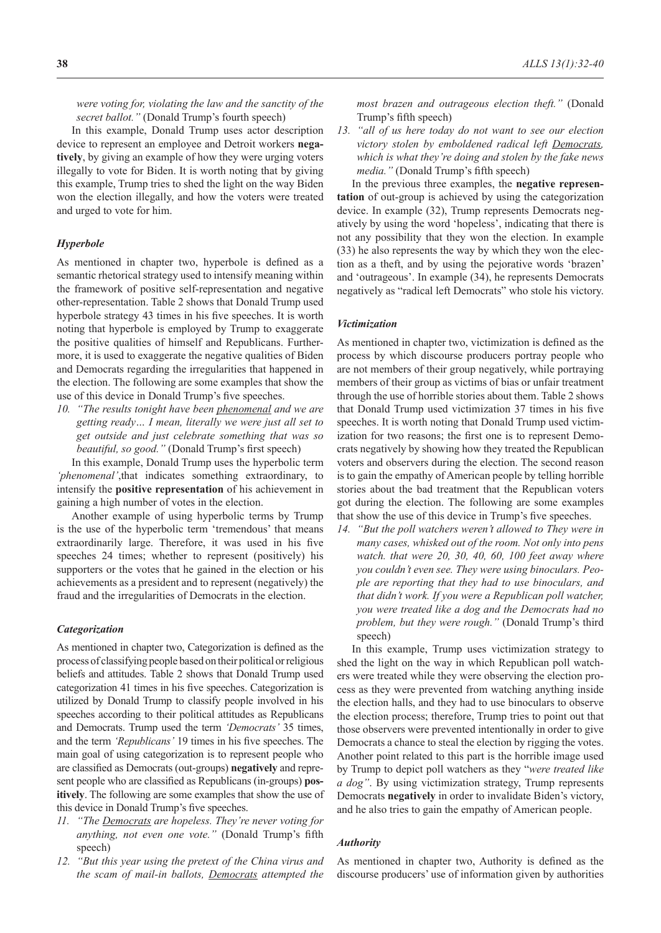*were voting for, violating the law and the sanctity of the secret ballot."* (Donald Trump's fourth speech)

In this example, Donald Trump uses actor description device to represent an employee and Detroit workers **nega‑ tively**, by giving an example of how they were urging voters illegally to vote for Biden. It is worth noting that by giving this example, Trump tries to shed the light on the way Biden won the election illegally, and how the voters were treated and urged to vote for him.

### *Hyperbole*

As mentioned in chapter two, hyperbole is defined as a semantic rhetorical strategy used to intensify meaning within the framework of positive self-representation and negative other-representation. Table 2 shows that Donald Trump used hyperbole strategy 43 times in his five speeches. It is worth noting that hyperbole is employed by Trump to exaggerate the positive qualities of himself and Republicans. Furthermore, it is used to exaggerate the negative qualities of Biden and Democrats regarding the irregularities that happened in the election. The following are some examples that show the use of this device in Donald Trump's five speeches.

*10. "The results tonight have been phenomenal and we are getting ready… I mean, literally we were just all set to get outside and just celebrate something that was so beautiful, so good."* (Donald Trump's first speech)

In this example, Donald Trump uses the hyperbolic term *'phenomenal'*,that indicates something extraordinary, to intensify the **positive representation** of his achievement in gaining a high number of votes in the election.

Another example of using hyperbolic terms by Trump is the use of the hyperbolic term 'tremendous' that means extraordinarily large. Therefore, it was used in his five speeches 24 times; whether to represent (positively) his supporters or the votes that he gained in the election or his achievements as a president and to represent (negatively) the fraud and the irregularities of Democrats in the election.

#### *Categorization*

As mentioned in chapter two, Categorization is defined as the process of classifying people based on their political or religious beliefs and attitudes. Table 2 shows that Donald Trump used categorization 41 times in his five speeches. Categorization is utilized by Donald Trump to classify people involved in his speeches according to their political attitudes as Republicans and Democrats. Trump used the term *'Democrats'* 35 times, and the term *'Republicans'* 19 times in his five speeches. The main goal of using categorization is to represent people who are classified as Democrats (out-groups) **negatively** and represent people who are classified as Republicans (in-groups) **pos‑ itively**. The following are some examples that show the use of this device in Donald Trump's five speeches.

- *11. "The Democrats are hopeless. They're never voting for anything, not even one vote."* (Donald Trump's fifth speech)
- *12. "But this year using the pretext of the China virus and the scam of mail-in ballots, Democrats attempted the*

*most brazen and outrageous election theft."* (Donald Trump's fifth speech)

*13. "all of us here today do not want to see our election victory stolen by emboldened radical left Democrats, which is what they're doing and stolen by the fake news media."* (Donald Trump's fifth speech)

In the previous three examples, the **negative represen‑ tation** of out-group is achieved by using the categorization device. In example (32), Trump represents Democrats negatively by using the word 'hopeless', indicating that there is not any possibility that they won the election. In example (33) he also represents the way by which they won the election as a theft, and by using the pejorative words 'brazen' and 'outrageous'. In example (34), he represents Democrats negatively as "radical left Democrats" who stole his victory.

### *Victimization*

As mentioned in chapter two, victimization is defined as the process by which discourse producers portray people who are not members of their group negatively, while portraying members of their group as victims of bias or unfair treatment through the use of horrible stories about them. Table 2 shows that Donald Trump used victimization 37 times in his five speeches. It is worth noting that Donald Trump used victimization for two reasons; the first one is to represent Democrats negatively by showing how they treated the Republican voters and observers during the election. The second reason is to gain the empathy of American people by telling horrible stories about the bad treatment that the Republican voters got during the election. The following are some examples that show the use of this device in Trump's five speeches.

*14. "But the poll watchers weren't allowed to They were in many cases, whisked out of the room. Not only into pens watch. that were 20, 30, 40, 60, 100 feet away where you couldn't even see. They were using binoculars. People are reporting that they had to use binoculars, and that didn't work. If you were a Republican poll watcher, you were treated like a dog and the Democrats had no problem, but they were rough."* (Donald Trump's third speech)

In this example, Trump uses victimization strategy to shed the light on the way in which Republican poll watchers were treated while they were observing the election process as they were prevented from watching anything inside the election halls, and they had to use binoculars to observe the election process; therefore, Trump tries to point out that those observers were prevented intentionally in order to give Democrats a chance to steal the election by rigging the votes. Another point related to this part is the horrible image used by Trump to depict poll watchers as they "*were treated like a dog"*. By using victimization strategy, Trump represents Democrats **negatively** in order to invalidate Biden's victory, and he also tries to gain the empathy of American people.

#### *Authority*

As mentioned in chapter two, Authority is defined as the discourse producers' use of information given by authorities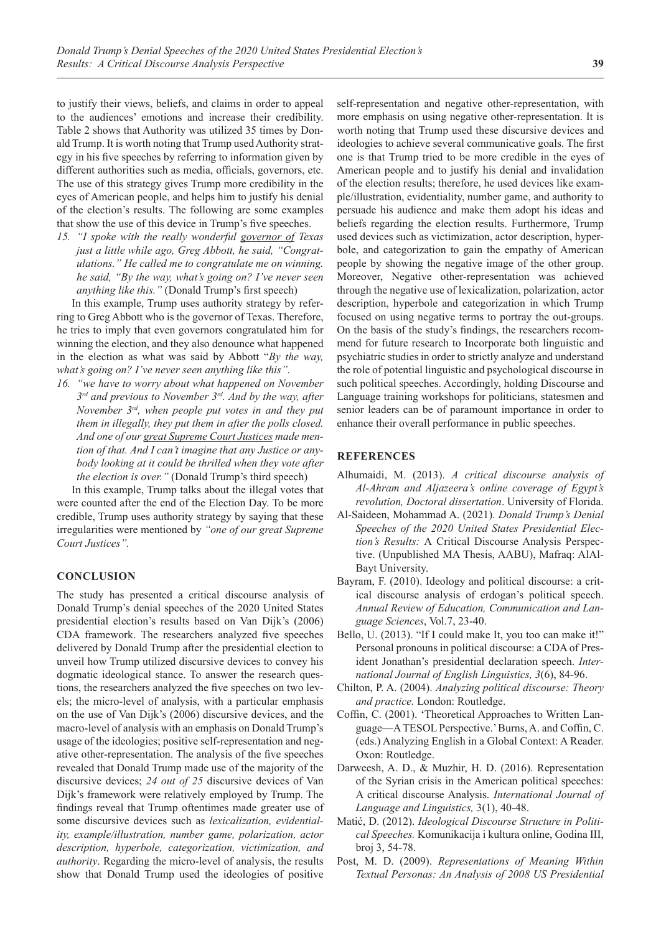to justify their views, beliefs, and claims in order to appeal to the audiences' emotions and increase their credibility. Table 2 shows that Authority was utilized 35 times by Donald Trump. It is worth noting that Trump used Authority strategy in his five speeches by referring to information given by different authorities such as media, officials, governors, etc. The use of this strategy gives Trump more credibility in the eyes of American people, and helps him to justify his denial of the election's results. The following are some examples that show the use of this device in Trump's five speeches.

*15. "I spoke with the really wonderful governor of Texas just a little while ago, Greg Abbott, he said, "Congratulations." He called me to congratulate me on winning. he said, "By the way, what's going on? I've never seen anything like this."* (Donald Trump's first speech)

In this example, Trump uses authority strategy by referring to Greg Abbott who is the governor of Texas. Therefore, he tries to imply that even governors congratulated him for winning the election, and they also denounce what happened in the election as what was said by Abbott "*By the way, what's going on? I've never seen anything like this".*

*16. "we have to worry about what happened on November 3rd and previous to November 3rd. And by the way, after November 3rd, when people put votes in and they put them in illegally, they put them in after the polls closed. And one of our great Supreme Court Justices made mention of that. And I can't imagine that any Justice or anybody looking at it could be thrilled when they vote after the election is over."* (Donald Trump's third speech)

In this example, Trump talks about the illegal votes that were counted after the end of the Election Day. To be more credible, Trump uses authority strategy by saying that these irregularities were mentioned by *"one of our great Supreme Court Justices".*

## **CONCLUSION**

The study has presented a critical discourse analysis of Donald Trump's denial speeches of the 2020 United States presidential election's results based on Van Dijk's (2006) CDA framework. The researchers analyzed five speeches delivered by Donald Trump after the presidential election to unveil how Trump utilized discursive devices to convey his dogmatic ideological stance. To answer the research questions, the researchers analyzed the five speeches on two levels; the micro-level of analysis, with a particular emphasis on the use of Van Dijk's (2006) discursive devices, and the macro-level of analysis with an emphasis on Donald Trump's usage of the ideologies; positive self-representation and negative other-representation. The analysis of the five speeches revealed that Donald Trump made use of the majority of the discursive devices; *24 out of 25* discursive devices of Van Dijk's framework were relatively employed by Trump. The findings reveal that Trump oftentimes made greater use of some discursive devices such as *lexicalization, evidentiality, example/illustration, number game, polarization, actor description, hyperbole, categorization, victimization, and authority*. Regarding the micro-level of analysis, the results show that Donald Trump used the ideologies of positive

self-representation and negative other-representation, with more emphasis on using negative other-representation. It is worth noting that Trump used these discursive devices and ideologies to achieve several communicative goals. The first one is that Trump tried to be more credible in the eyes of American people and to justify his denial and invalidation of the election results; therefore, he used devices like example/illustration, evidentiality, number game, and authority to persuade his audience and make them adopt his ideas and beliefs regarding the election results. Furthermore, Trump used devices such as victimization, actor description, hyperbole, and categorization to gain the empathy of American people by showing the negative image of the other group. Moreover, Negative other-representation was achieved through the negative use of lexicalization, polarization, actor description, hyperbole and categorization in which Trump focused on using negative terms to portray the out-groups. On the basis of the study's findings, the researchers recommend for future research to Incorporate both linguistic and psychiatric studies in order to strictly analyze and understand the role of potential linguistic and psychological discourse in such political speeches. Accordingly, holding Discourse and Language training workshops for politicians, statesmen and senior leaders can be of paramount importance in order to enhance their overall performance in public speeches.

### **REFERENCES**

- Alhumaidi, M. (2013). *A critical discourse analysis of Al-Ahram and Aljazeera's online coverage of Egypt's revolution, Doctoral dissertation*. University of Florida.
- Al-Saideen, Mohammad A. (2021). *Donald Trump's Denial Speeches of the 2020 United States Presidential Election's Results:* A Critical Discourse Analysis Perspective. (Unpublished MA Thesis, AABU), Mafraq: AlAl-Bayt University.
- Bayram, F. (2010). Ideology and political discourse: a critical discourse analysis of erdogan's political speech. *Annual Review of Education, Communication and Language Sciences*, Vol.7, 23-40.
- Bello, U. (2013). "If I could make It, you too can make it!" Personal pronouns in political discourse: a CDA of President Jonathan's presidential declaration speech. *International Journal of English Linguistics, 3*(6), 84-96.
- Chilton, P. A. (2004). *Analyzing political discourse: Theory and practice.* London: Routledge.
- Coffin, C. (2001). 'Theoretical Approaches to Written Language—A TESOL Perspective.' Burns, A. and Coffin, C. (eds.) Analyzing English in a Global Context: A Reader. Oxon: Routledge.
- Darweesh, A. D., & Muzhir, H. D. (2016). Representation of the Syrian crisis in the American political speeches: A critical discourse Analysis. *International Journal of Language and Linguistics,* 3(1), 40-48.
- Matić, D. (2012). *Ideological Discourse Structure in Political Speeches.* Komunikacija i kultura online, Godina III, broj 3, 54-78.
- Post, M. D. (2009). *Representations of Meaning Within Textual Personas: An Analysis of 2008 US Presidential*